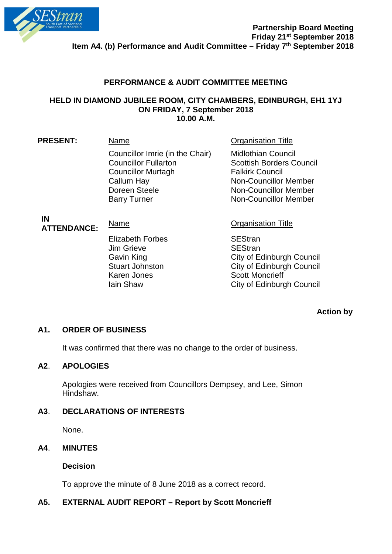

# **PERFORMANCE & AUDIT COMMITTEE MEETING**

#### **HELD IN DIAMOND JUBILEE ROOM, CITY CHAMBERS, EDINBURGH, EH1 1YJ ON FRIDAY, 7 September 2018 10.00 A.M.**

| Name                                                                                                      | <b>Organisation Title</b>                                                                                                                              |
|-----------------------------------------------------------------------------------------------------------|--------------------------------------------------------------------------------------------------------------------------------------------------------|
| Councillor Imrie (in the Chair)<br><b>Councillor Fullarton</b><br><b>Councillor Murtagh</b><br>Callum Hay | <b>Midlothian Council</b><br><b>Scottish Borders Council</b><br><b>Falkirk Council</b><br><b>Non-Councillor Member</b><br><b>Non-Councillor Member</b> |
| <b>Barry Turner</b>                                                                                       | <b>Non-Councillor Member</b>                                                                                                                           |
|                                                                                                           | Doreen Steele                                                                                                                                          |

#### **IN ATTENDANCE:** Name Manner Critical Critical Critical Critical Organisation Title

Elizabeth Forbes<br>
Jim Grieve SEStran Jim Grieve<br>Gavin King Karen Jones<br>
Iain Shaw<br>
City of Edinburg

City of Edinburgh Council Stuart Johnston City of Edinburgh Council City of Edinburgh Council

# **Action by**

# **A1. ORDER OF BUSINESS**

It was confirmed that there was no change to the order of business.

### **A2**. **APOLOGIES**

Apologies were received from Councillors Dempsey, and Lee, Simon Hindshaw.

### **A3**. **DECLARATIONS OF INTERESTS**

None.

### **A4**. **MINUTES**

**Decision**

To approve the minute of 8 June 2018 as a correct record.

# **A5. EXTERNAL AUDIT REPORT – Report by Scott Moncrieff**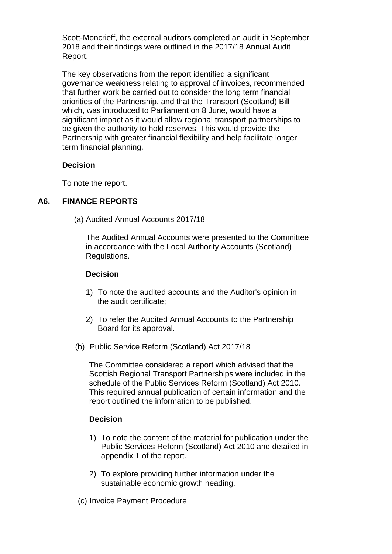Scott-Moncrieff, the external auditors completed an audit in September 2018 and their findings were outlined in the 2017/18 Annual Audit Report.

The key observations from the report identified a significant governance weakness relating to approval of invoices, recommended that further work be carried out to consider the long term financial priorities of the Partnership, and that the Transport (Scotland) Bill which, was introduced to Parliament on 8 June, would have a significant impact as it would allow regional transport partnerships to be given the authority to hold reserves. This would provide the Partnership with greater financial flexibility and help facilitate longer term financial planning.

### **Decision**

To note the report.

# **A6. FINANCE REPORTS**

(a) Audited Annual Accounts 2017/18

The Audited Annual Accounts were presented to the Committee in accordance with the Local Authority Accounts (Scotland) Regulations.

#### **Decision**

- 1) To note the audited accounts and the Auditor's opinion in the audit certificate;
- 2) To refer the Audited Annual Accounts to the Partnership Board for its approval.
- (b) Public Service Reform (Scotland) Act 2017/18

The Committee considered a report which advised that the Scottish Regional Transport Partnerships were included in the schedule of the Public Services Reform (Scotland) Act 2010. This required annual publication of certain information and the report outlined the information to be published.

### **Decision**

- 1) To note the content of the material for publication under the Public Services Reform (Scotland) Act 2010 and detailed in appendix 1 of the report.
- 2) To explore providing further information under the sustainable economic growth heading.
- (c) Invoice Payment Procedure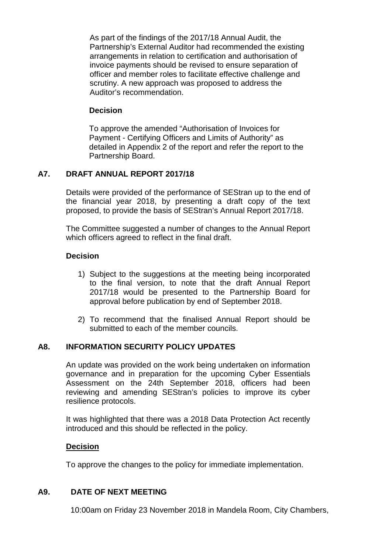As part of the findings of the 2017/18 Annual Audit, the Partnership's External Auditor had recommended the existing arrangements in relation to certification and authorisation of invoice payments should be revised to ensure separation of officer and member roles to facilitate effective challenge and scrutiny. A new approach was proposed to address the Auditor's recommendation.

## **Decision**

To approve the amended "Authorisation of Invoices for Payment - Certifying Officers and Limits of Authority" as detailed in Appendix 2 of the report and refer the report to the Partnership Board.

# **A7. DRAFT ANNUAL REPORT 2017/18**

Details were provided of the performance of SEStran up to the end of the financial year 2018, by presenting a draft copy of the text proposed, to provide the basis of SEStran's Annual Report 2017/18.

The Committee suggested a number of changes to the Annual Report which officers agreed to reflect in the final draft.

# **Decision**

- 1) Subject to the suggestions at the meeting being incorporated to the final version, to note that the draft Annual Report 2017/18 would be presented to the Partnership Board for approval before publication by end of September 2018.
- 2) To recommend that the finalised Annual Report should be submitted to each of the member councils.

### **A8. INFORMATION SECURITY POLICY UPDATES**

An update was provided on the work being undertaken on information governance and in preparation for the upcoming Cyber Essentials Assessment on the 24th September 2018, officers had been reviewing and amending SEStran's policies to improve its cyber resilience protocols.

It was highlighted that there was a 2018 Data Protection Act recently introduced and this should be reflected in the policy.

### **Decision**

To approve the changes to the policy for immediate implementation.

### **A9. DATE OF NEXT MEETING**

10:00am on Friday 23 November 2018 in Mandela Room, City Chambers,